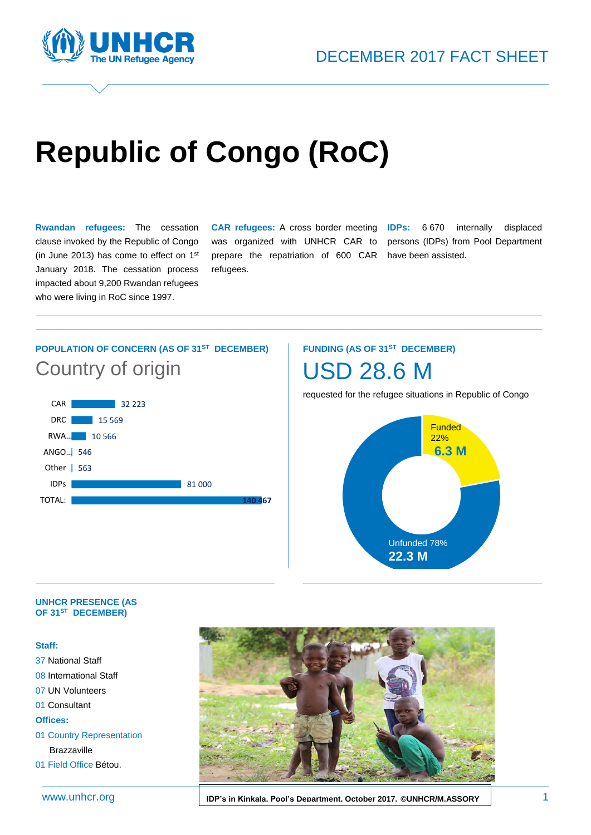



# **Republic of Congo (RoC)**

**Rwandan refugees:** The cessation clause invoked by the Republic of Congo (in June 2013) has come to effect on 1st January 2018. The cessation process impacted about 9,200 Rwandan refugees who were living in RoC since 1997.

**CAR refugees:** A cross border meeting **IDPs:** 6 670 internally displaced was organized with UNHCR CAR to prepare the repatriation of 600 CAR have been assisted. refugees.

persons (IDPs) from Pool Department

### **POPULATION OF CONCERN (AS OF 31ST DECEMBER)** Country of origin



#### **FUNDING (AS OF 31ST DECEMBER)**



requested for the refugee situations in Republic of Congo



#### **UNHCR PRESENCE (AS OF 31ST DECEMBER)**

#### **Staff:**

37 National Staff 08 International Staff 07 UN Volunteers 01 Consultant **Offices:** 01 Country Representation Brazzaville 01 Field Office Bétou.

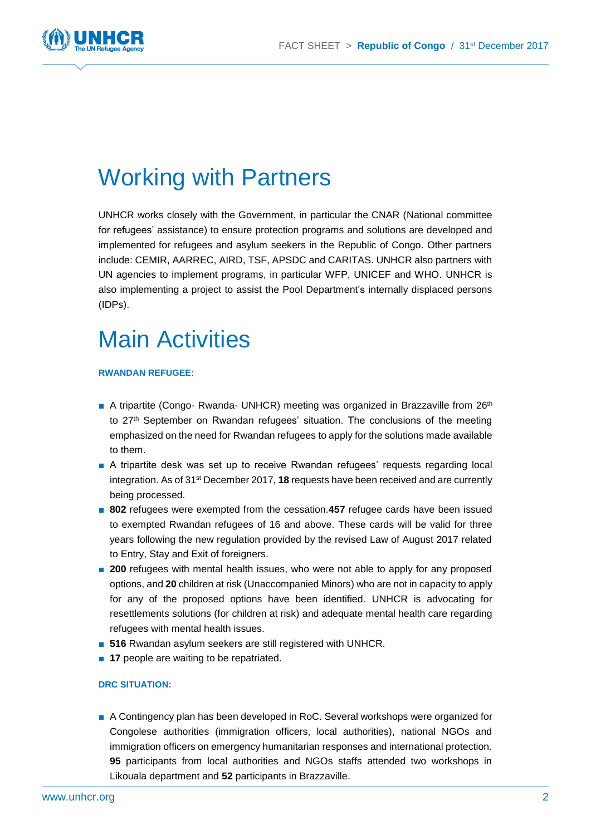

## Working with Partners

UNHCR works closely with the Government, in particular the CNAR (National committee for refugees' assistance) to ensure protection programs and solutions are developed and implemented for refugees and asylum seekers in the Republic of Congo. Other partners include: CEMIR, AARREC, AIRD, TSF, APSDC and CARITAS. UNHCR also partners with UN agencies to implement programs, in particular WFP, UNICEF and WHO. UNHCR is also implementing a project to assist the Pool Department's internally displaced persons (IDPs).

## Main Activities

#### **RWANDAN REFUGEE:**

- A tripartite (Congo- Rwanda- UNHCR) meeting was organized in Brazzaville from 26<sup>th</sup> to 27<sup>th</sup> September on Rwandan refugees' situation. The conclusions of the meeting emphasized on the need for Rwandan refugees to apply for the solutions made available to them.
- A tripartite desk was set up to receive Rwandan refugees' requests regarding local integration. As of 31st December 2017, **18** requests have been received and are currently being processed.
- 802 refugees were exempted from the cessation.457 refugee cards have been issued to exempted Rwandan refugees of 16 and above. These cards will be valid for three years following the new regulation provided by the revised Law of August 2017 related to Entry, Stay and Exit of foreigners.
- 200 refugees with mental health issues, who were not able to apply for any proposed options, and **20** children at risk (Unaccompanied Minors) who are not in capacity to apply for any of the proposed options have been identified. UNHCR is advocating for resettlements solutions (for children at risk) and adequate mental health care regarding refugees with mental health issues.
- **516** Rwandan asylum seekers are still registered with UNHCR.
- **17** people are waiting to be repatriated.

#### **DRC SITUATION:**

■ A Contingency plan has been developed in RoC. Several workshops were organized for Congolese authorities (immigration officers, local authorities), national NGOs and immigration officers on emergency humanitarian responses and international protection. **95** participants from local authorities and NGOs staffs attended two workshops in Likouala department and **52** participants in Brazzaville.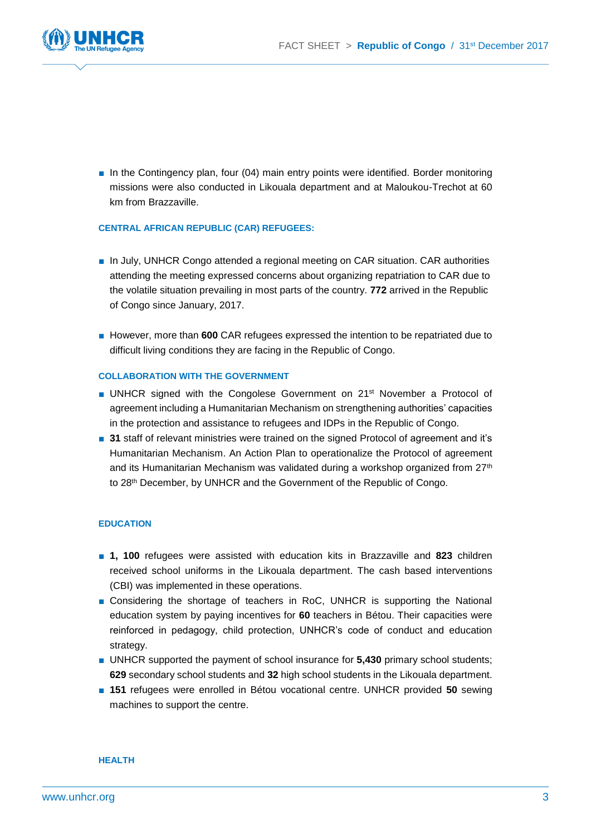

■ In the Contingency plan, four (04) main entry points were identified. Border monitoring missions were also conducted in Likouala department and at Maloukou-Trechot at 60 km from Brazzaville.

#### **CENTRAL AFRICAN REPUBLIC (CAR) REFUGEES:**

- In July, UNHCR Congo attended a regional meeting on CAR situation. CAR authorities attending the meeting expressed concerns about organizing repatriation to CAR due to the volatile situation prevailing in most parts of the country. **772** arrived in the Republic of Congo since January, 2017.
- However, more than 600 CAR refugees expressed the intention to be repatriated due to difficult living conditions they are facing in the Republic of Congo.

#### **COLLABORATION WITH THE GOVERNMENT**

- UNHCR signed with the Congolese Government on 21<sup>st</sup> November a Protocol of agreement including a Humanitarian Mechanism on strengthening authorities' capacities in the protection and assistance to refugees and IDPs in the Republic of Congo.
- 31 staff of relevant ministries were trained on the signed Protocol of agreement and it's Humanitarian Mechanism. An Action Plan to operationalize the Protocol of agreement and its Humanitarian Mechanism was validated during a workshop organized from  $27<sup>th</sup>$ to 28<sup>th</sup> December, by UNHCR and the Government of the Republic of Congo.

#### **EDUCATION**

- **1, 100** refugees were assisted with education kits in Brazzaville and 823 children received school uniforms in the Likouala department. The cash based interventions (CBI) was implemented in these operations.
- Considering the shortage of teachers in RoC, UNHCR is supporting the National education system by paying incentives for **60** teachers in Bétou. Their capacities were reinforced in pedagogy, child protection, UNHCR's code of conduct and education strategy.
- UNHCR supported the payment of school insurance for **5.430** primary school students; **629** secondary school students and **32** high school students in the Likouala department.
- 151 refugees were enrolled in Bétou vocational centre. UNHCR provided 50 sewing machines to support the centre.

**HEALTH**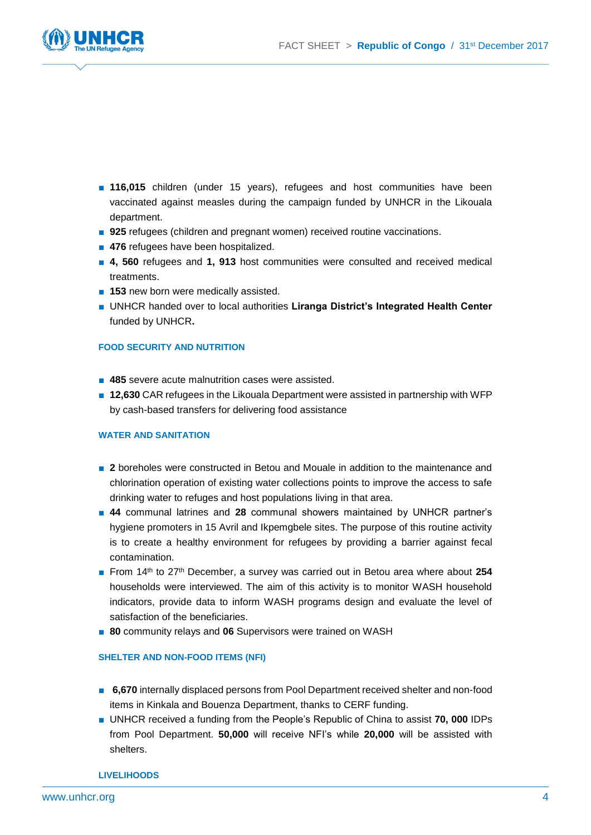

- **116,015** children (under 15 years), refugees and host communities have been vaccinated against measles during the campaign funded by UNHCR in the Likouala department.
- 925 refugees (children and pregnant women) received routine vaccinations.
- 476 refugees have been hospitalized.
- 4, 560 refugees and 1, 913 host communities were consulted and received medical treatments.
- **153** new born were medically assisted.
- UNHCR handed over to local authorities Liranga District's Integrated Health Center funded by UNHCR**.**

#### **FOOD SECURITY AND NUTRITION**

- 485 severe acute malnutrition cases were assisted.
- **12,630** CAR refugees in the Likouala Department were assisted in partnership with WFP by cash-based transfers for delivering food assistance

#### **WATER AND SANITATION**

- 2 boreholes were constructed in Betou and Mouale in addition to the maintenance and chlorination operation of existing water collections points to improve the access to safe drinking water to refuges and host populations living in that area.
- 44 communal latrines and 28 communal showers maintained by UNHCR partner's hygiene promoters in 15 Avril and Ikpemgbele sites. The purpose of this routine activity is to create a healthy environment for refugees by providing a barrier against fecal contamination.
- From 14<sup>th</sup> to 27<sup>th</sup> December, a survey was carried out in Betou area where about 254 households were interviewed. The aim of this activity is to monitor WASH household indicators, provide data to inform WASH programs design and evaluate the level of satisfaction of the beneficiaries.
- **80** community relays and **06** Supervisors were trained on WASH

#### **SHELTER AND NON-FOOD ITEMS (NFI)**

- **6,670** internally displaced persons from Pool Department received shelter and non-food items in Kinkala and Bouenza Department, thanks to CERF funding.
- UNHCR received a funding from the People's Republic of China to assist **70, 000** IDPs from Pool Department. **50,000** will receive NFI's while **20,000** will be assisted with shelters.

**LIVELIHOODS**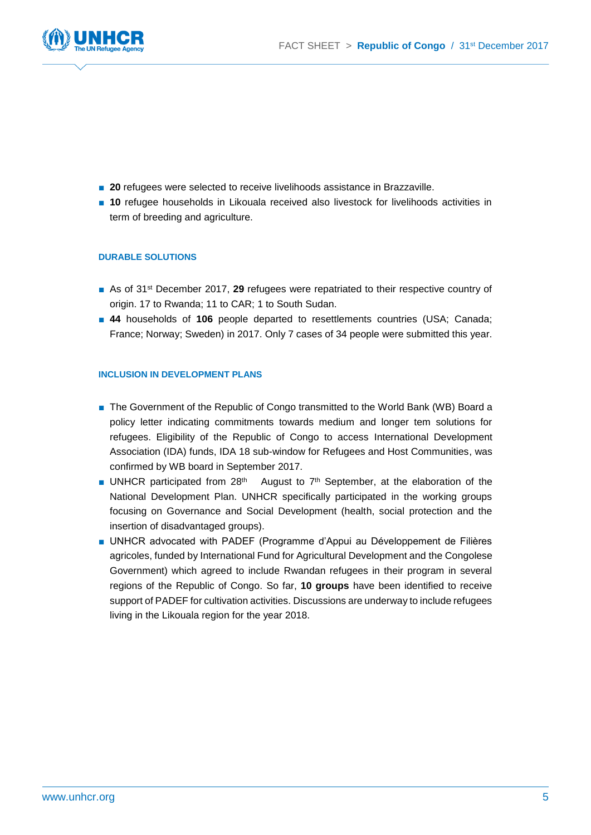

- 20 refugees were selected to receive livelihoods assistance in Brazzaville.
- **10** refugee households in Likouala received also livestock for livelihoods activities in term of breeding and agriculture.

#### **DURABLE SOLUTIONS**

- As of 31<sup>st</sup> December 2017, 29 refugees were repatriated to their respective country of origin. 17 to Rwanda; 11 to CAR; 1 to South Sudan.
- 44 households of 106 people departed to resettlements countries (USA; Canada; France; Norway; Sweden) in 2017. Only 7 cases of 34 people were submitted this year.

#### **INCLUSION IN DEVELOPMENT PLANS**

- The Government of the Republic of Congo transmitted to the World Bank (WB) Board a policy letter indicating commitments towards medium and longer tem solutions for refugees. Eligibility of the Republic of Congo to access International Development Association (IDA) funds, IDA 18 sub-window for Refugees and Host Communities, was confirmed by WB board in September 2017.
- UNHCR participated from 28<sup>th</sup> August to 7<sup>th</sup> September, at the elaboration of the National Development Plan. UNHCR specifically participated in the working groups focusing on Governance and Social Development (health, social protection and the insertion of disadvantaged groups).
- UNHCR advocated with PADEF (Programme d'Appui au Développement de Filières agricoles, funded by International Fund for Agricultural Development and the Congolese Government) which agreed to include Rwandan refugees in their program in several regions of the Republic of Congo. So far, **10 groups** have been identified to receive support of PADEF for cultivation activities. Discussions are underway to include refugees living in the Likouala region for the year 2018.